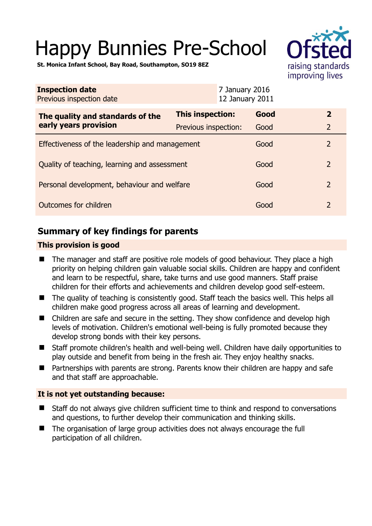# Happy Bunnies Pre-School



**St. Monica Infant School, Bay Road, Southampton, SO19 8EZ** 

| <b>Inspection date</b><br>Previous inspection date        |                         | 7 January 2016<br>12 January 2011 |                |
|-----------------------------------------------------------|-------------------------|-----------------------------------|----------------|
| The quality and standards of the<br>early years provision | <b>This inspection:</b> | Good                              | $\mathbf{2}$   |
|                                                           | Previous inspection:    | Good                              | $\overline{2}$ |
| Effectiveness of the leadership and management            |                         | Good                              | $\overline{2}$ |
| Quality of teaching, learning and assessment              |                         | Good                              | $\overline{2}$ |
| Personal development, behaviour and welfare               |                         | Good                              | $\overline{2}$ |
| Outcomes for children                                     |                         | Good                              | 2              |

# **Summary of key findings for parents**

## **This provision is good**

- The manager and staff are positive role models of good behaviour. They place a high priority on helping children gain valuable social skills. Children are happy and confident and learn to be respectful, share, take turns and use good manners. Staff praise children for their efforts and achievements and children develop good self-esteem.
- The quality of teaching is consistently good. Staff teach the basics well. This helps all children make good progress across all areas of learning and development.
- Children are safe and secure in the setting. They show confidence and develop high levels of motivation. Children's emotional well-being is fully promoted because they develop strong bonds with their key persons.
- Staff promote children's health and well-being well. Children have daily opportunities to play outside and benefit from being in the fresh air. They enjoy healthy snacks.
- Partnerships with parents are strong. Parents know their children are happy and safe and that staff are approachable.

## **It is not yet outstanding because:**

- Staff do not always give children sufficient time to think and respond to conversations and questions, to further develop their communication and thinking skills.
- The organisation of large group activities does not always encourage the full participation of all children.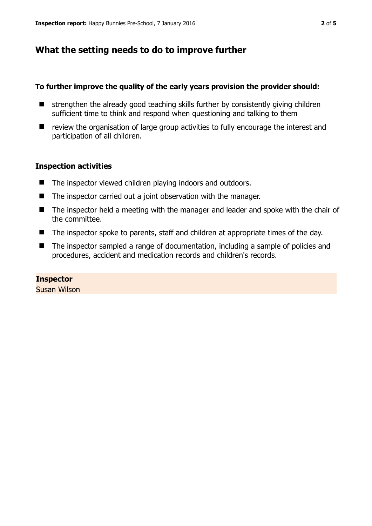# **What the setting needs to do to improve further**

## **To further improve the quality of the early years provision the provider should:**

- $\blacksquare$  strengthen the already good teaching skills further by consistently giving children sufficient time to think and respond when questioning and talking to them
- review the organisation of large group activities to fully encourage the interest and participation of all children.

## **Inspection activities**

- The inspector viewed children playing indoors and outdoors.
- The inspector carried out a joint observation with the manager.
- The inspector held a meeting with the manager and leader and spoke with the chair of the committee.
- The inspector spoke to parents, staff and children at appropriate times of the day.
- The inspector sampled a range of documentation, including a sample of policies and procedures, accident and medication records and children's records.

## **Inspector**

Susan Wilson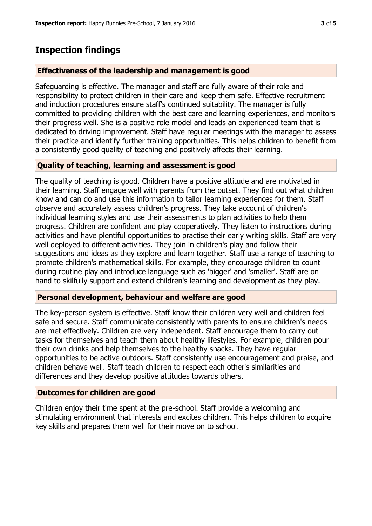# **Inspection findings**

## **Effectiveness of the leadership and management is good**

Safeguarding is effective. The manager and staff are fully aware of their role and responsibility to protect children in their care and keep them safe. Effective recruitment and induction procedures ensure staff's continued suitability. The manager is fully committed to providing children with the best care and learning experiences, and monitors their progress well. She is a positive role model and leads an experienced team that is dedicated to driving improvement. Staff have regular meetings with the manager to assess their practice and identify further training opportunities. This helps children to benefit from a consistently good quality of teaching and positively affects their learning.

## **Quality of teaching, learning and assessment is good**

The quality of teaching is good. Children have a positive attitude and are motivated in their learning. Staff engage well with parents from the outset. They find out what children know and can do and use this information to tailor learning experiences for them. Staff observe and accurately assess children's progress. They take account of children's individual learning styles and use their assessments to plan activities to help them progress. Children are confident and play cooperatively. They listen to instructions during activities and have plentiful opportunities to practise their early writing skills. Staff are very well deployed to different activities. They join in children's play and follow their suggestions and ideas as they explore and learn together. Staff use a range of teaching to promote children's mathematical skills. For example, they encourage children to count during routine play and introduce language such as 'bigger' and 'smaller'. Staff are on hand to skilfully support and extend children's learning and development as they play.

### **Personal development, behaviour and welfare are good**

The key-person system is effective. Staff know their children very well and children feel safe and secure. Staff communicate consistently with parents to ensure children's needs are met effectively. Children are very independent. Staff encourage them to carry out tasks for themselves and teach them about healthy lifestyles. For example, children pour their own drinks and help themselves to the healthy snacks. They have regular opportunities to be active outdoors. Staff consistently use encouragement and praise, and children behave well. Staff teach children to respect each other's similarities and differences and they develop positive attitudes towards others.

### **Outcomes for children are good**

Children enjoy their time spent at the pre-school. Staff provide a welcoming and stimulating environment that interests and excites children. This helps children to acquire key skills and prepares them well for their move on to school.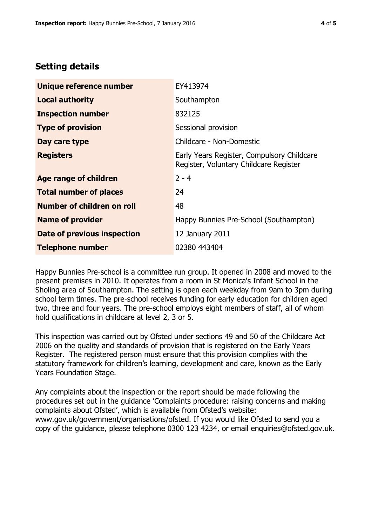# **Setting details**

| Unique reference number       | EY413974                                                                             |  |
|-------------------------------|--------------------------------------------------------------------------------------|--|
| <b>Local authority</b>        | Southampton                                                                          |  |
| <b>Inspection number</b>      | 832125                                                                               |  |
| <b>Type of provision</b>      | Sessional provision                                                                  |  |
| Day care type                 | Childcare - Non-Domestic                                                             |  |
| <b>Registers</b>              | Early Years Register, Compulsory Childcare<br>Register, Voluntary Childcare Register |  |
| <b>Age range of children</b>  | $2 - 4$                                                                              |  |
| <b>Total number of places</b> | 24                                                                                   |  |
| Number of children on roll    | 48                                                                                   |  |
| <b>Name of provider</b>       | Happy Bunnies Pre-School (Southampton)                                               |  |
| Date of previous inspection   | 12 January 2011                                                                      |  |
| <b>Telephone number</b>       | 02380 443404                                                                         |  |

Happy Bunnies Pre-school is a committee run group. It opened in 2008 and moved to the present premises in 2010. It operates from a room in St Monica's Infant School in the Sholing area of Southampton. The setting is open each weekday from 9am to 3pm during school term times. The pre-school receives funding for early education for children aged two, three and four years. The pre-school employs eight members of staff, all of whom hold qualifications in childcare at level 2, 3 or 5.

This inspection was carried out by Ofsted under sections 49 and 50 of the Childcare Act 2006 on the quality and standards of provision that is registered on the Early Years Register. The registered person must ensure that this provision complies with the statutory framework for children's learning, development and care, known as the Early Years Foundation Stage.

Any complaints about the inspection or the report should be made following the procedures set out in the guidance 'Complaints procedure: raising concerns and making complaints about Ofsted', which is available from Ofsted's website: www.gov.uk/government/organisations/ofsted. If you would like Ofsted to send you a copy of the guidance, please telephone 0300 123 4234, or email enquiries@ofsted.gov.uk.